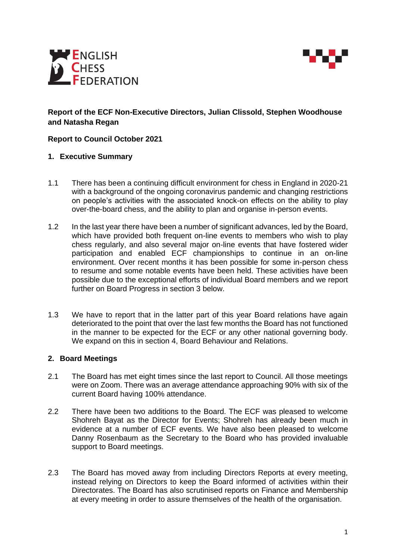



# **Report of the ECF Non-Executive Directors, Julian Clissold, Stephen Woodhouse and Natasha Regan**

## **Report to Council October 2021**

#### **1. Executive Summary**

- 1.1 There has been a continuing difficult environment for chess in England in 2020-21 with a background of the ongoing coronavirus pandemic and changing restrictions on people's activities with the associated knock-on effects on the ability to play over-the-board chess, and the ability to plan and organise in-person events.
- 1.2 In the last year there have been a number of significant advances, led by the Board, which have provided both frequent on-line events to members who wish to play chess regularly, and also several major on-line events that have fostered wider participation and enabled ECF championships to continue in an on-line environment. Over recent months it has been possible for some in-person chess to resume and some notable events have been held. These activities have been possible due to the exceptional efforts of individual Board members and we report further on Board Progress in section 3 below.
- 1.3 We have to report that in the latter part of this year Board relations have again deteriorated to the point that over the last few months the Board has not functioned in the manner to be expected for the ECF or any other national governing body. We expand on this in section 4, Board Behaviour and Relations.

#### **2. Board Meetings**

- 2.1 The Board has met eight times since the last report to Council. All those meetings were on Zoom. There was an average attendance approaching 90% with six of the current Board having 100% attendance.
- 2.2 There have been two additions to the Board. The ECF was pleased to welcome Shohreh Bayat as the Director for Events; Shohreh has already been much in evidence at a number of ECF events. We have also been pleased to welcome Danny Rosenbaum as the Secretary to the Board who has provided invaluable support to Board meetings.
- 2.3 The Board has moved away from including Directors Reports at every meeting, instead relying on Directors to keep the Board informed of activities within their Directorates. The Board has also scrutinised reports on Finance and Membership at every meeting in order to assure themselves of the health of the organisation.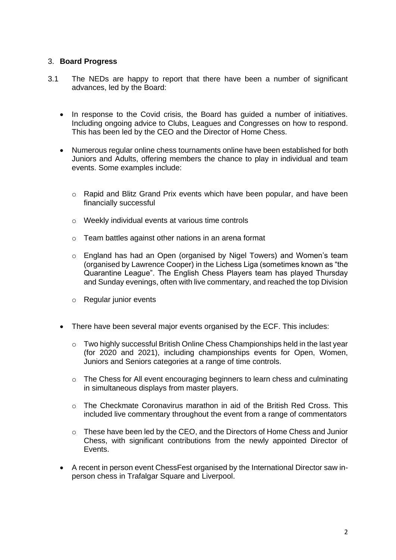### 3. **Board Progress**

- 3.1 The NEDs are happy to report that there have been a number of significant advances, led by the Board:
	- In response to the Covid crisis, the Board has guided a number of initiatives. Including ongoing advice to Clubs, Leagues and Congresses on how to respond. This has been led by the CEO and the Director of Home Chess.
	- Numerous regular online chess tournaments online have been established for both Juniors and Adults, offering members the chance to play in individual and team events. Some examples include:
		- o Rapid and Blitz Grand Prix events which have been popular, and have been financially successful
		- o Weekly individual events at various time controls
		- o Team battles against other nations in an arena format
		- o England has had an Open (organised by Nigel Towers) and Women's team (organised by Lawrence Cooper) in the Lichess Liga (sometimes known as "the Quarantine League". The English Chess Players team has played Thursday and Sunday evenings, often with live commentary, and reached the top Division
		- o Regular junior events
	- There have been several major events organised by the ECF. This includes:
		- o Two highly successful British Online Chess Championships held in the last year (for 2020 and 2021), including championships events for Open, Women, Juniors and Seniors categories at a range of time controls.
		- o The Chess for All event encouraging beginners to learn chess and culminating in simultaneous displays from master players.
		- o The Checkmate Coronavirus marathon in aid of the British Red Cross. This included live commentary throughout the event from a range of commentators
		- o These have been led by the CEO, and the Directors of Home Chess and Junior Chess, with significant contributions from the newly appointed Director of Events.
	- A recent in person event ChessFest organised by the International Director saw inperson chess in Trafalgar Square and Liverpool.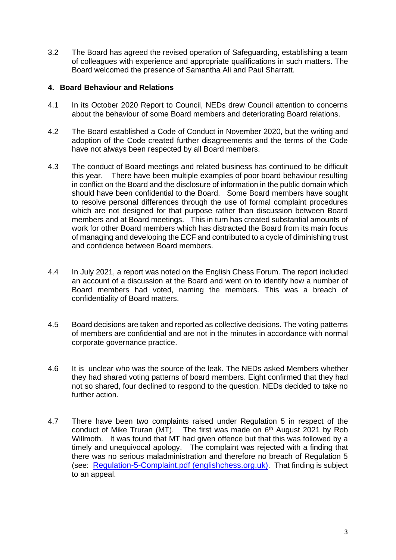3.2 The Board has agreed the revised operation of Safeguarding, establishing a team of colleagues with experience and appropriate qualifications in such matters. The Board welcomed the presence of Samantha Ali and Paul Sharratt.

## **4. Board Behaviour and Relations**

- 4.1 In its October 2020 Report to Council, NEDs drew Council attention to concerns about the behaviour of some Board members and deteriorating Board relations.
- 4.2 The Board established a Code of Conduct in November 2020, but the writing and adoption of the Code created further disagreements and the terms of the Code have not always been respected by all Board members.
- 4.3 The conduct of Board meetings and related business has continued to be difficult this year. There have been multiple examples of poor board behaviour resulting in conflict on the Board and the disclosure of information in the public domain which should have been confidential to the Board. Some Board members have sought to resolve personal differences through the use of formal complaint procedures which are not designed for that purpose rather than discussion between Board members and at Board meetings. This in turn has created substantial amounts of work for other Board members which has distracted the Board from its main focus of managing and developing the ECF and contributed to a cycle of diminishing trust and confidence between Board members.
- 4.4 In July 2021, a report was noted on the English Chess Forum. The report included an account of a discussion at the Board and went on to identify how a number of Board members had voted, naming the members. This was a breach of confidentiality of Board matters.
- 4.5 Board decisions are taken and reported as collective decisions. The voting patterns of members are confidential and are not in the minutes in accordance with normal corporate governance practice.
- 4.6 It is unclear who was the source of the leak. The NEDs asked Members whether they had shared voting patterns of board members. Eight confirmed that they had not so shared, four declined to respond to the question. NEDs decided to take no further action.
- 4.7 There have been two complaints raised under Regulation 5 in respect of the conduct of Mike Truran (MT). The first was made on  $6<sup>th</sup>$  August 2021 by Rob Willmoth. It was found that MT had given offence but that this was followed by a timely and unequivocal apology. The complaint was rejected with a finding that there was no serious maladministration and therefore no breach of Regulation 5 (see: [Regulation-5-Complaint.pdf \(englishchess.org.uk\)](https://www.englishchess.org.uk/wp-content/uploads/2021/09/Regulation-5-Complaint.pdf). That finding is subject to an appeal.